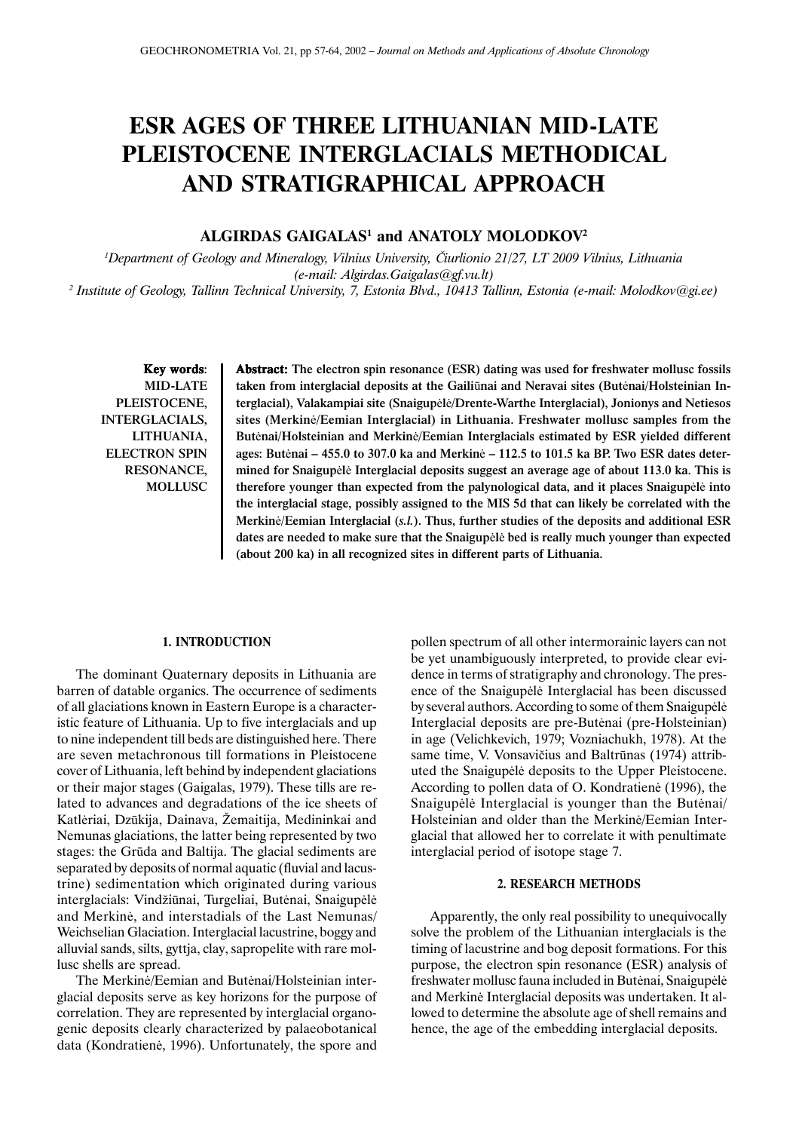# **ESR AGES OF THREE LITHUANIAN MID-LATE PLEISTOCENE INTERGLACIALS METHODICAL AND STRATIGRAPHICAL APPROACH**

# **ALGIRDAS GAIGALAS1 and ANATOLY MOLODKOV2**

*1 Department of Geology and Mineralogy, Vilnius University,* È*iurlionio 21/27, LT 2009 Vilnius, Lithuania (e-mail: Algirdas.Gaigalas@gf.vu.lt) 2 Institute of Geology, Tallinn Technical University, 7, Estonia Blvd., 10413 Tallinn, Estonia (e-mail: Molodkov@gi.ee)*

Key words: MID-LATE PLEISTOCENE, INTERGLACIALS, LITHUANIA, ELECTRON SPIN RESONANCE, MOLLUSC

Abstract: Abstract: The electron spin resonance (ESR) dating was used for freshwater mollusc fossils taken from interglacial deposits at the Gailiûnai and Neravai sites (Butënai/Holsteinian Interglacial), Valakampiai site (Snaigupëlë/Drente-Warthe Interglacial), Jonionys and Netiesos sites (Merkinë/Eemian Interglacial) in Lithuania. Freshwater mollusc samples from the Butënai/Holsteinian and Merkinë/Eemian Interglacials estimated by ESR yielded different ages: Butënai – 455.0 to 307.0 ka and Merkinë – 112.5 to 101.5 ka BP. Two ESR dates determined for Snaigupëlë Interglacial deposits suggest an average age of about 113.0 ka. This is therefore younger than expected from the palynological data, and it places Snaigupëlë into the interglacial stage, possibly assigned to the MIS 5d that can likely be correlated with the Merkinë/Eemian Interglacial (*s.l.*). Thus, further studies of the deposits and additional ESR dates are needed to make sure that the Snaigupëlë bed is really much younger than expected (about 200 ka) in all recognized sites in different parts of Lithuania.

## **1. INTRODUCTION**

The dominant Quaternary deposits in Lithuania are barren of datable organics. The occurrence of sediments of all glaciations known in Eastern Europe is a characteristic feature of Lithuania. Up to five interglacials and up to nine independent till beds are distinguished here. There are seven metachronous till formations in Pleistocene cover of Lithuania, left behind by independent glaciations or their major stages (Gaigalas, 1979). These tills are related to advances and degradations of the ice sheets of Katlėriai, Dzūkija, Dainava, Žemaitija, Medininkai and Nemunas glaciations, the latter being represented by two stages: the Grûda and Baltija. The glacial sediments are separated by deposits of normal aquatic (fluvial and lacustrine) sedimentation which originated during various interglacials: Vindžiūnai, Turgeliai, Butėnai, Snaigupėlė and Merkinë, and interstadials of the Last Nemunas/ Weichselian Glaciation. Interglacial lacustrine, boggy and alluvial sands, silts, gyttja, clay, sapropelite with rare mollusc shells are spread.

The Merkinë/Eemian and Butënai/Holsteinian interglacial deposits serve as key horizons for the purpose of correlation. They are represented by interglacial organogenic deposits clearly characterized by palaeobotanical data (Kondratienë, 1996). Unfortunately, the spore and

pollen spectrum of all other intermorainic layers can not be yet unambiguously interpreted, to provide clear evidence in terms of stratigraphy and chronology. The presence of the Snaigupëlë Interglacial has been discussed by several authors. According to some of them Snaigupëlë Interglacial deposits are pre-Butënai (pre-Holsteinian) in age (Velichkevich, 1979; Vozniachukh, 1978). At the same time, V. Vonsavièius and Baltrûnas (1974) attributed the Snaigupëlë deposits to the Upper Pleistocene. According to pollen data of O. Kondratienë (1996), the Snaigupëlë Interglacial is younger than the Butënai/ Holsteinian and older than the Merkinë/Eemian Interglacial that allowed her to correlate it with penultimate interglacial period of isotope stage 7.

## **2. RESEARCH METHODS**

Apparently, the only real possibility to unequivocally solve the problem of the Lithuanian interglacials is the timing of lacustrine and bog deposit formations. For this purpose, the electron spin resonance (ESR) analysis of freshwater mollusc fauna included in Butënai, Snaigupëlë and Merkinë Interglacial deposits was undertaken. It allowed to determine the absolute age of shell remains and hence, the age of the embedding interglacial deposits.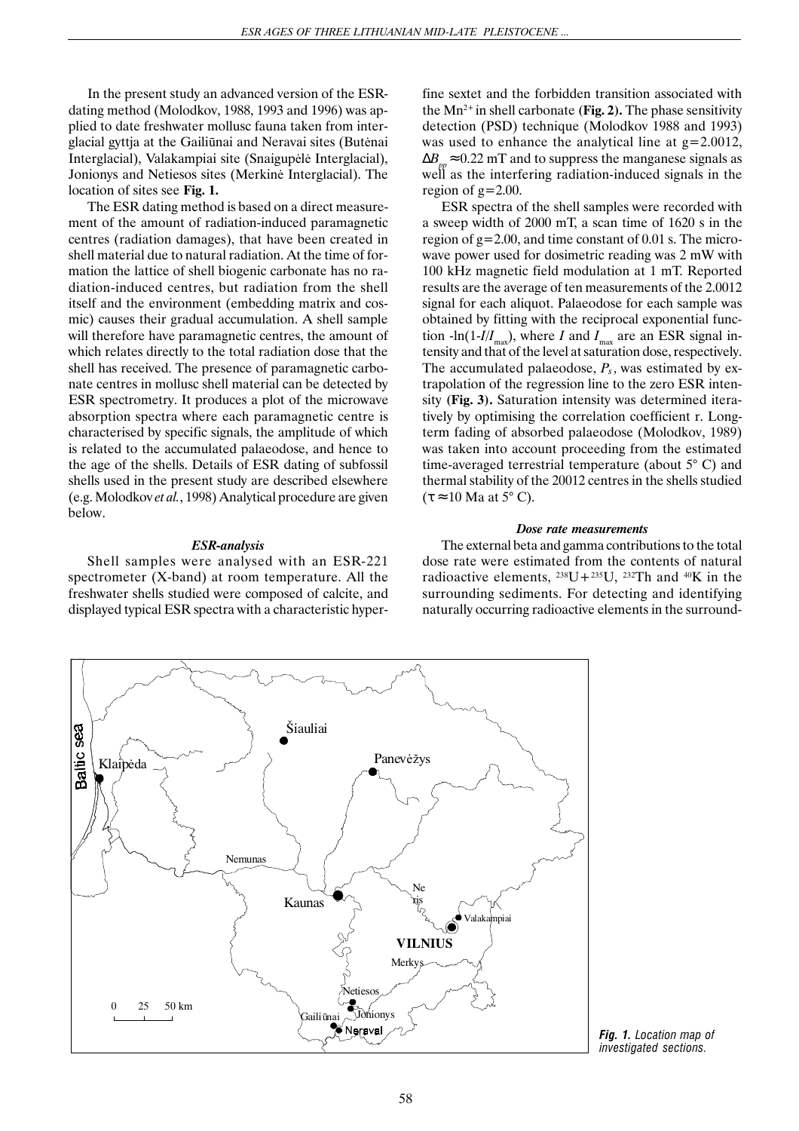In the present study an advanced version of the ESRdating method (Molodkov, 1988, 1993 and 1996) was applied to date freshwater mollusc fauna taken from interglacial gyttja at the Gailiûnai and Neravai sites (Butënai Interglacial), Valakampiai site (Snaigupëlë Interglacial), Jonionys and Netiesos sites (Merkinë Interglacial). The location of sites see **Fig. 1.**

The ESR dating method is based on a direct measurement of the amount of radiation-induced paramagnetic centres (radiation damages), that have been created in shell material due to natural radiation. At the time of formation the lattice of shell biogenic carbonate has no radiation-induced centres, but radiation from the shell itself and the environment (embedding matrix and cosmic) causes their gradual accumulation. A shell sample will therefore have paramagnetic centres, the amount of which relates directly to the total radiation dose that the shell has received. The presence of paramagnetic carbonate centres in mollusc shell material can be detected by ESR spectrometry. It produces a plot of the microwave absorption spectra where each paramagnetic centre is characterised by specific signals, the amplitude of which is related to the accumulated palaeodose, and hence to the age of the shells. Details of ESR dating of subfossil shells used in the present study are described elsewhere (e.g. Molodkov *et al.*, 1998) Analytical procedure are given below.

#### *ESR-analysis*

Shell samples were analysed with an ESR-221 spectrometer (X-band) at room temperature. All the freshwater shells studied were composed of calcite, and displayed typical ESR spectra with a characteristic hyperfine sextet and the forbidden transition associated with the  $Mn^{2+}$  in shell carbonate (Fig. 2). The phase sensitivity detection (PSD) technique (Molodkov 1988 and 1993) was used to enhance the analytical line at  $g=2.0012$ ,  $\Delta B$ <sub>p</sub>≈ 0.22 mT and to suppress the manganese signals as well as the interfering radiation-induced signals in the region of  $g=2.00$ .

ESR spectra of the shell samples were recorded with a sweep width of 2000 mT, a scan time of 1620 s in the region of g=2.00, and time constant of 0.01 s. The microwave power used for dosimetric reading was 2 mW with 100 kHz magnetic field modulation at 1 mT. Reported results are the average of ten measurements of the 2.0012 signal for each aliquot. Palaeodose for each sample was obtained by fitting with the reciprocal exponential function -ln(1-*I/I<sub>max</sub>*), where *I* and  $I_{\text{max}}$  are an ESR signal intensity and that of the level at saturation dose, respectively. The accumulated palaeodose,  $P_s$ , was estimated by extrapolation of the regression line to the zero ESR intensity **(Fig. 3).** Saturation intensity was determined iteratively by optimising the correlation coefficient r. Longterm fading of absorbed palaeodose (Molodkov, 1989) was taken into account proceeding from the estimated time-averaged terrestrial temperature (about 5° C) and thermal stability of the 20012 centres in the shells studied  $(\tau \approx 10$  Ma at 5° C).

#### *Dose rate measurements*

The external beta and gamma contributions to the total dose rate were estimated from the contents of natural radioactive elements,  $^{238}U+^{235}U$ ,  $^{232}Th$  and  $^{40}K$  in the surrounding sediments. For detecting and identifying naturally occurring radioactive elements in the surround-



*Fig. 1. Location map of investigated sections.*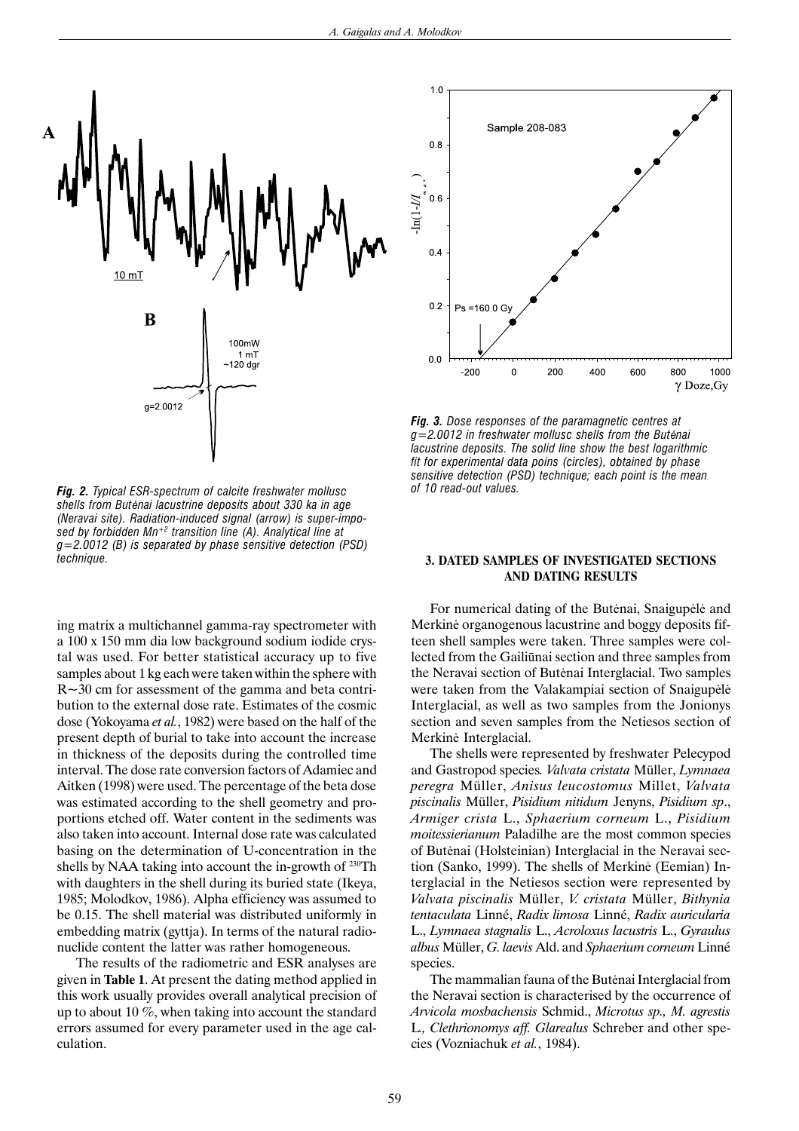

*Fig. 2. Typical ESR-spectrum of calcite freshwater mollusc shells from But*ë*nai lacustrine deposits about 330 ka in age (Neravai site). Radiation-induced signal (arrow) is super-imposed by forbidden Mn+2 transition line (A). Analytical line at g=2.0012 (B) is separated by phase sensitive detection (PSD) technique.*

ing matrix a multichannel gamma-ray spectrometer with a 100 x 150 mm dia low background sodium iodide crystal was used. For better statistical accuracy up to five samples about 1 kg each were taken within the sphere with R~30 cm for assessment of the gamma and beta contribution to the external dose rate. Estimates of the cosmic dose (Yokoyama *et al.*, 1982) were based on the half of the present depth of burial to take into account the increase in thickness of the deposits during the controlled time interval. The dose rate conversion factors of Adamiec and Aitken (1998) were used. The percentage of the beta dose was estimated according to the shell geometry and proportions etched off. Water content in the sediments was also taken into account. Internal dose rate was calculated basing on the determination of U-concentration in the shells by NAA taking into account the in-growth of <sup>230</sup>Th with daughters in the shell during its buried state (Ikeya, 1985; Molodkov, 1986). Alpha efficiency was assumed to be 0.15. The shell material was distributed uniformly in embedding matrix (gyttja). In terms of the natural radionuclide content the latter was rather homogeneous.

The results of the radiometric and ESR analyses are given in **Table 1**. At present the dating method applied in this work usually provides overall analytical precision of up to about 10 %, when taking into account the standard errors assumed for every parameter used in the age calculation.



*Fig. 3. Dose responses of the paramagnetic centres at g=2.0012 in freshwater mollusc shells from the But*ë*nai lacustrine deposits. The solid line show the best logarithmic fit for experimental data poins (circles), obtained by phase sensitive detection (PSD) technique; each point is the mean of 10 read-out values.*

## **3. DATED SAMPLES OF INVESTIGATED SECTIONS AND DATING RESULTS**

For numerical dating of the Butënai, Snaigupëlë and Merkinë organogenous lacustrine and boggy deposits fifteen shell samples were taken. Three samples were collected from the Gailiûnai section and three samples from the Neravai section of Butënai Interglacial. Two samples were taken from the Valakampiai section of Snaigupëlë Interglacial, as well as two samples from the Jonionys section and seven samples from the Netiesos section of Merkinë Interglacial.

The shells were represented by freshwater Pelecypod and Gastropod species*. Valvata cristata* Müller, *Lymnaea peregra* Müller, *Anisus leucostomus* Millet, *Valvata piscinalis* Müller, *Pisidium nitidum* Jenyns, *Pisidium sp*., *Armiger crista* L., *Sphaerium corneum* L., *Pisidium moitessierianum* Paladilhe are the most common species of Butënai (Holsteinian) Interglacial in the Neravai section (Sanko, 1999). The shells of Merkinë (Eemian) Interglacial in the Netiesos section were represented by *Valvata piscinalis* Müller, *V. cristata* Müller, *Bithynia tentaculata* Linné, *Radix limosa* Linné, *Radix auricularia* L., *Lymnaea stagnalis* L., *Acroloxus lacustris* L., *Gyraulus albus* Müller, *G. laevis* Ald. and *Sphaerium corneum* Linné species.

The mammalian fauna of the Butënai Interglacial from the Neravai section is characterised by the occurrence of *Arvicola mosbachensis* Schmid., *Microtus sp., M. agrestis* L*., Clethrionomys aff. Glarealus* Schreber and other species (Vozniachuk *et al.*, 1984).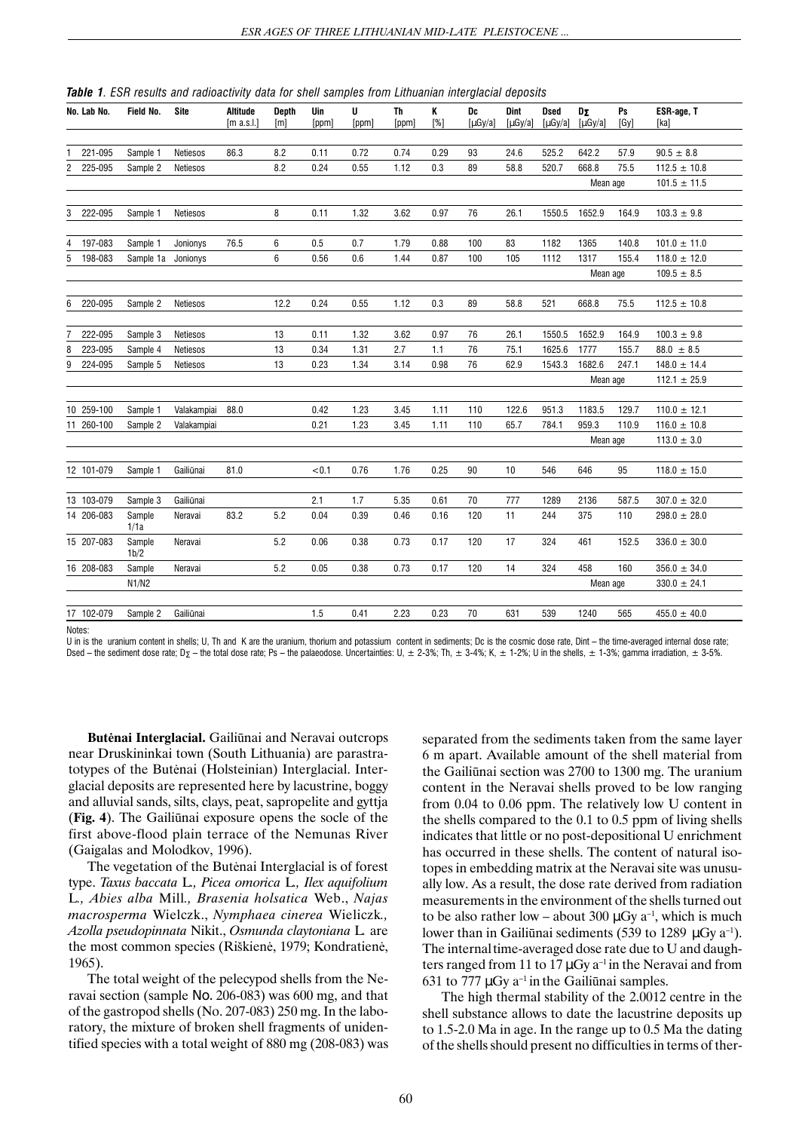|  |  |  |  | <b>Table 1</b> . ESR results and radioactivity data for shell samples from Lithuanian interglacial deposits |  |  |  |  |  |  |  |  |
|--|--|--|--|-------------------------------------------------------------------------------------------------------------|--|--|--|--|--|--|--|--|
|--|--|--|--|-------------------------------------------------------------------------------------------------------------|--|--|--|--|--|--|--|--|

|   | No. Lab No. | Field No.          | Site        | Altitude<br>[m a.s.l.] | <b>Depth</b><br>[m] | Uin<br>[ppm] | U<br>[ppm] | Th<br>[ppm] | Κ<br>[%] | Dc<br>$\lceil \mu G y / a \rceil$ | <b>Dint</b><br>$\lceil \mu G y / a \rceil$ | Dsed<br>$\lceil \mu \text{Gy}/a \rceil$ | DΣ<br>$\lceil \mu G y / a \rceil$ | Ps<br>[Gy] | ESR-age, T<br>[ka] |
|---|-------------|--------------------|-------------|------------------------|---------------------|--------------|------------|-------------|----------|-----------------------------------|--------------------------------------------|-----------------------------------------|-----------------------------------|------------|--------------------|
|   |             |                    |             |                        |                     |              |            |             |          |                                   |                                            |                                         |                                   |            |                    |
|   | 221-095     | Sample 1           | Netiesos    | 86.3                   | 8.2                 | 0.11         | 0.72       | 0.74        | 0.29     | 93                                | 24.6                                       | 525.2                                   | 642.2                             | 57.9       | $90.5 \pm 8.8$     |
| 2 | 225-095     | Sample 2           | Netiesos    |                        | 8.2                 | 0.24         | 0.55       | 1.12        | 0.3      | 89                                | 58.8                                       | 520.7                                   | 668.8                             | 75.5       | $112.5 \pm 10.8$   |
|   |             |                    |             |                        |                     |              |            |             |          |                                   |                                            |                                         | Mean age                          |            | $101.5 \pm 11.5$   |
|   |             |                    |             |                        |                     |              |            |             |          |                                   |                                            |                                         |                                   |            |                    |
| 3 | 222-095     | Sample 1           | Netiesos    |                        | 8                   | 0.11         | 1.32       | 3.62        | 0.97     | 76                                | 26.1                                       | 1550.5                                  | 1652.9                            | 164.9      | $103.3 \pm 9.8$    |
|   |             |                    |             |                        |                     |              |            |             |          |                                   |                                            |                                         |                                   |            |                    |
| 4 | 197-083     | Sample 1           | Jonionys    | 76.5                   | 6                   | 0.5          | 0.7        | 1.79        | 0.88     | 100                               | 83                                         | 1182                                    | 1365                              | 140.8      | $101.0 \pm 11.0$   |
| 5 | 198-083     | Sample 1a Jonionys |             |                        | 6                   | 0.56         | 0.6        | 1.44        | 0.87     | 100                               | 105                                        | 1112                                    | 1317                              | 155.4      | $118.0 \pm 12.0$   |
|   |             |                    |             |                        |                     |              |            |             |          |                                   |                                            |                                         | Mean age                          |            | $109.5 \pm 8.5$    |
|   |             |                    |             |                        |                     |              |            |             |          |                                   |                                            |                                         |                                   |            |                    |
| 6 | 220-095     | Sample 2           | Netiesos    |                        | 12.2                | 0.24         | 0.55       | 1.12        | 0.3      | 89                                | 58.8                                       | 521                                     | 668.8                             | 75.5       | $112.5 \pm 10.8$   |
|   |             |                    |             |                        |                     |              |            |             |          |                                   |                                            |                                         |                                   |            |                    |
| 7 | 222-095     | Sample 3           | Netiesos    |                        | 13                  | 0.11         | 1.32       | 3.62        | 0.97     | 76                                | 26.1                                       | 1550.5                                  | 1652.9                            | 164.9      | $100.3 \pm 9.8$    |
| 8 | 223-095     | Sample 4           | Netiesos    |                        | 13                  | 0.34         | 1.31       | 2.7         | 1.1      | 76                                | 75.1                                       | 1625.6                                  | 1777                              | 155.7      | $88.0 \pm 8.5$     |
| 9 | 224-095     | Sample 5           | Netiesos    |                        | 13                  | 0.23         | 1.34       | 3.14        | 0.98     | 76                                | 62.9                                       | 1543.3                                  | 1682.6                            | 247.1      | $148.0 \pm 14.4$   |
|   |             |                    |             |                        |                     |              |            |             |          |                                   |                                            |                                         | Mean age                          |            | $112.1 \pm 25.9$   |
|   |             |                    |             |                        |                     |              |            |             |          |                                   |                                            |                                         |                                   |            |                    |
|   | 10 259-100  | Sample 1           | Valakampiai | 88.0                   |                     | 0.42         | 1.23       | 3.45        | 1.11     | 110                               | 122.6                                      | 951.3                                   | 1183.5                            | 129.7      | $110.0 \pm 12.1$   |
|   | 11 260-100  | Sample 2           | Valakampiai |                        |                     | 0.21         | 1.23       | 3.45        | 1.11     | 110                               | 65.7                                       | 784.1                                   | 959.3                             | 110.9      | $116.0 \pm 10.8$   |
|   |             |                    |             |                        |                     |              |            |             |          |                                   |                                            |                                         | Mean age                          |            | $113.0 \pm 3.0$    |
|   |             |                    |             |                        |                     |              |            |             |          |                                   |                                            |                                         |                                   |            |                    |
|   | 12 101-079  | Sample 1           | Gailiūnai   | 81.0                   |                     | < 0.1        | 0.76       | 1.76        | 0.25     | 90                                | 10                                         | 546                                     | 646                               | 95         | $118.0 \pm 15.0$   |
|   |             |                    |             |                        |                     |              |            |             |          |                                   |                                            |                                         |                                   |            |                    |
|   | 13 103-079  | Sample 3           | Gailiūnai   |                        |                     | 2.1          | 1.7        | 5.35        | 0.61     | 70                                | 777                                        | 1289                                    | 2136                              | 587.5      | $307.0 \pm 32.0$   |
|   | 14 206-083  | Sample<br>1/1a     | Neravai     | 83.2                   | 5.2                 | 0.04         | 0.39       | 0.46        | 0.16     | 120                               | 11                                         | 244                                     | 375                               | 110        | $298.0 \pm 28.0$   |
|   | 15 207-083  | Sample<br>1b/2     | Neravai     |                        | 5.2                 | 0.06         | 0.38       | 0.73        | 0.17     | 120                               | 17                                         | 324                                     | 461                               | 152.5      | $336.0 \pm 30.0$   |
|   | 16 208-083  | Sample             | Neravai     |                        | 5.2                 | 0.05         | 0.38       | 0.73        | 0.17     | 120                               | 14                                         | 324                                     | 458                               | 160        | $356.0 \pm 34.0$   |
|   |             | N1/N2              |             |                        |                     |              |            |             |          |                                   |                                            |                                         | Mean age                          |            | $330.0 \pm 24.1$   |
|   |             |                    |             |                        |                     |              |            |             |          |                                   |                                            |                                         |                                   |            |                    |
|   | 17 102-079  | Sample 2           | Gailiūnai   |                        |                     | 1.5          | 0.41       | 2.23        | 0.23     | 70                                | 631                                        | 539                                     | 1240                              | 565        | $455.0 \pm 40.0$   |

Notes:

U in is the uranium content in shells; U. Th and K are the uranium, thorium and potassium content in sediments; Dc is the cosmic dose rate. Dint – the time-averaged internal dose rate; Dsed – the sediment dose rate; D<sub>Σ</sub> – the total dose rate; Ps – the palaeodose. Uncertainties: U, ± 2-3%; Th, ± 3-4%; K, ± 1-2%; U in the shells, ± 1-3%; gamma irradiation, ± 3-5%.

**But**ë**nai Interglacial.** Gailiûnai and Neravai outcrops near Druskininkai town (South Lithuania) are parastratotypes of the Butënai (Holsteinian) Interglacial. Interglacial deposits are represented here by lacustrine, boggy and alluvial sands, silts, clays, peat, sapropelite and gyttja (**Fig. 4**). The Gailiûnai exposure opens the socle of the first above-flood plain terrace of the Nemunas River (Gaigalas and Molodkov, 1996).

The vegetation of the Butënai Interglacial is of forest type. *Taxus baccata* L*., Picea omorica* L*., Ilex aquifolium* L*., Abies alba* Mill*., Brasenia holsatica* Web., *Najas macrosperma* Wielczk., *Nymphaea cinerea* Wieliczk*., Azolla pseudopinnata* Nikit., *Osmunda claytoniana* L*.* are the most common species (Riðkienë, 1979; Kondratienë, 1965).

The total weight of the pelecypod shells from the Neravai section (sample Νο. 206-083) was 600 mg, and that of the gastropod shells (No. 207-083) 250 mg. In the laboratory, the mixture of broken shell fragments of unidentified species with a total weight of 880 mg (208-083) was separated from the sediments taken from the same layer 6 m apart. Available amount of the shell material from the Gailiûnai section was 2700 to 1300 mg. The uranium content in the Neravai shells proved to be low ranging from 0.04 to 0.06 ppm. The relatively low U content in the shells compared to the 0.1 to 0.5 ppm of living shells indicates that little or no post-depositional U enrichment has occurred in these shells. The content of natural isotopes in embedding matrix at the Neravai site was unusually low. As a result, the dose rate derived from radiation measurements in the environment of the shells turned out to be also rather low – about 300  $\mu$ Gy a<sup>-1</sup>, which is much lower than in Gailiūnai sediments (539 to 1289  $\mu$ Gy a<sup>-1</sup>). The internaltime-averaged dose rate due to U and daughters ranged from 11 to 17  $\mu$ Gy a<sup>-1</sup> in the Neravai and from 631 to 777  $\mu$ Gy a<sup>-1</sup> in the Gailiūnai samples.

The high thermal stability of the 2.0012 centre in the shell substance allows to date the lacustrine deposits up to 1.5-2.0 Ma in age. In the range up to 0.5 Ma the dating of the shells should present no difficulties in terms of ther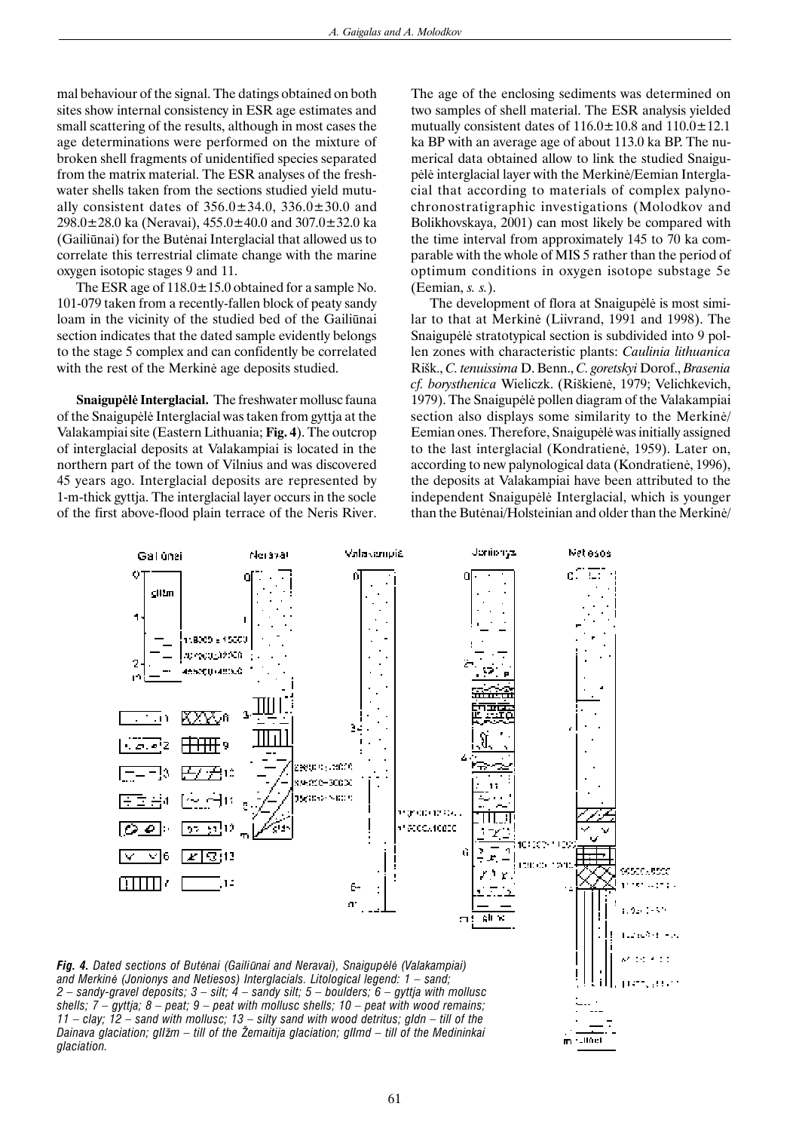mal behaviour of the signal. The datings obtained on both sites show internal consistency in ESR age estimates and small scattering of the results, although in most cases the age determinations were performed on the mixture of broken shell fragments of unidentified species separated from the matrix material. The ESR analyses of the freshwater shells taken from the sections studied yield mutually consistent dates of  $356.0 \pm 34.0$ ,  $336.0 \pm 30.0$  and 298.0 $\pm$ 28.0 ka (Neravai), 455.0 $\pm$ 40.0 and 307.0 $\pm$ 32.0 ka (Gailiûnai) for the Butënai Interglacial that allowed us to correlate this terrestrial climate change with the marine oxygen isotopic stages 9 and 11.

The ESR age of  $118.0 \pm 15.0$  obtained for a sample No. 101-079 taken from a recently-fallen block of peaty sandy loam in the vicinity of the studied bed of the Gailiûnai section indicates that the dated sample evidently belongs to the stage 5 complex and can confidently be correlated with the rest of the Merkinë age deposits studied.

**Snaigup**ë**l**ë **Interglacial.** The freshwater mollusc fauna of the Snaigupëlë Interglacial was taken from gyttja at the Valakampiai site (Eastern Lithuania; **Fig. 4**). The outcrop of interglacial deposits at Valakampiai is located in the northern part of the town of Vilnius and was discovered 45 years ago. Interglacial deposits are represented by 1-m-thick gyttja. The interglacial layer occurs in the socle of the first above-flood plain terrace of the Neris River. The age of the enclosing sediments was determined on two samples of shell material. The ESR analysis yielded mutually consistent dates of  $116.0 \pm 10.8$  and  $110.0 \pm 12.1$ ka BP with an average age of about 113.0 ka BP. The numerical data obtained allow to link the studied Snaigupëlë interglacial layer with the Merkinë/Eemian Interglacial that according to materials of complex palynochronostratigraphic investigations (Molodkov and Bolikhovskaya, 2001) can most likely be compared with the time interval from approximately 145 to 70 ka comparable with the whole of MIS 5 rather than the period of optimum conditions in oxygen isotope substage 5e (Eemian, *s. s.*).

The development of flora at Snaigupëlë is most similar to that at Merkinë (Liivrand, 1991 and 1998). The Snaigupëlë stratotypical section is subdivided into 9 pollen zones with characteristic plants: *Caulinia lithuanica* Rišk., *C. tenuissima* D. Benn., *C. goretskyi* Dorof., *Brasenia cf. borysthenica* Wieliczk. (Riðkienë, 1979; Velichkevich, 1979). The Snaigupëlë pollen diagram of the Valakampiai section also displays some similarity to the Merkinë/ Eemian ones. Therefore, Snaigupëlë was initially assigned to the last interglacial (Kondratienë, 1959). Later on, according to new palynological data (Kondratienë, 1996), the deposits at Valakampiai have been attributed to the independent Snaigupëlë Interglacial, which is younger than the Butënai/Holsteinian and older than the Merkinë/

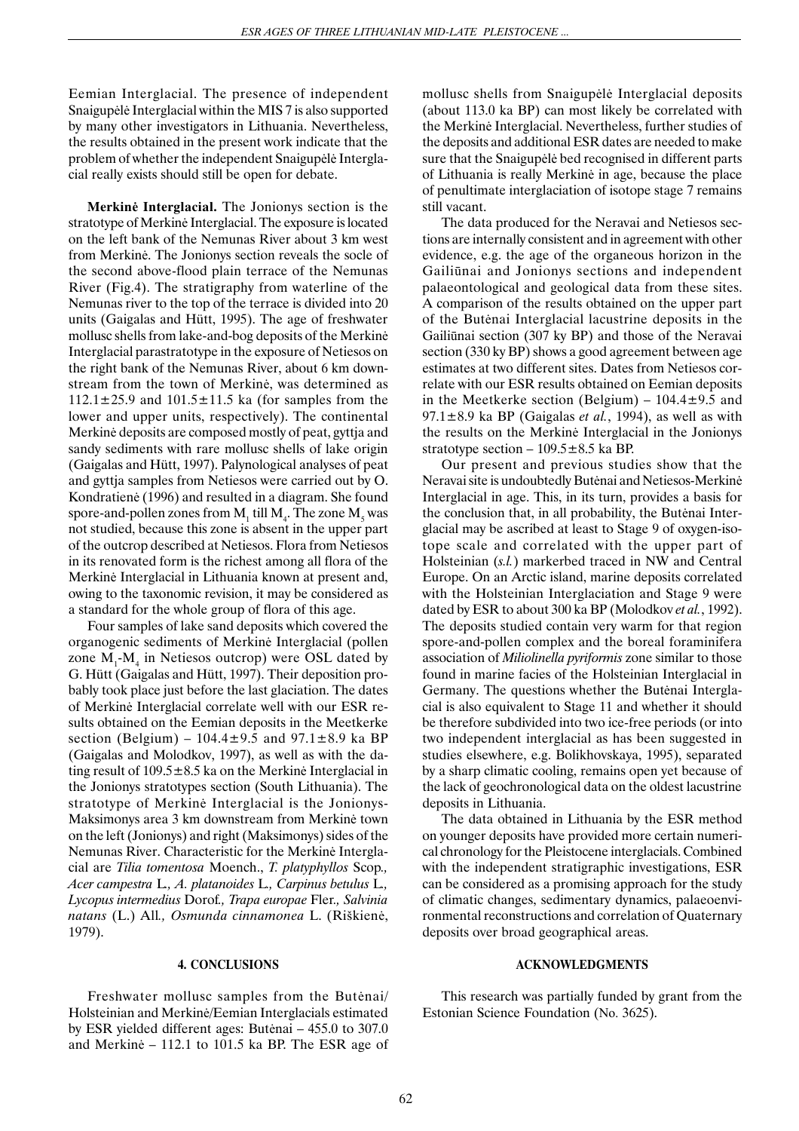Eemian Interglacial. The presence of independent Snaigupëlë Interglacial within the MIS 7 is also supported by many other investigators in Lithuania. Nevertheless, the results obtained in the present work indicate that the problem of whether the independent Snaigupëlë Interglacial really exists should still be open for debate.

**Merkin**ë **Interglacial.** The Jonionys section is the stratotype of Merkinë Interglacial. The exposure is located on the left bank of the Nemunas River about 3 km west from Merkinë. The Jonionys section reveals the socle of the second above-flood plain terrace of the Nemunas River (Fig.4). The stratigraphy from waterline of the Nemunas river to the top of the terrace is divided into 20 units (Gaigalas and Hütt, 1995). The age of freshwater mollusc shells from lake-and-bog deposits of the Merkinë Interglacial parastratotype in the exposure of Netiesos on the right bank of the Nemunas River, about 6 km downstream from the town of Merkinë, was determined as  $112.1\pm25.9$  and  $101.5\pm11.5$  ka (for samples from the lower and upper units, respectively). The continental Merkinë deposits are composed mostly of peat, gyttja and sandy sediments with rare mollusc shells of lake origin (Gaigalas and Hütt, 1997). Palynological analyses of peat and gyttja samples from Netiesos were carried out by O. Kondratienë (1996) and resulted in a diagram. She found spore-and-pollen zones from  $\mathbf{M}_1$  till  $\mathbf{M}_4$ . The zone  $\mathbf{M}_5$  was not studied, because this zone is absent in the upper part of the outcrop described at Netiesos. Flora from Netiesos in its renovated form is the richest among all flora of the Merkinë Interglacial in Lithuania known at present and, owing to the taxonomic revision, it may be considered as a standard for the whole group of flora of this age.

Four samples of lake sand deposits which covered the organogenic sediments of Merkinë Interglacial (pollen zone  $M_1$ - $M_4$  in Netiesos outcrop) were OSL dated by G. Hütt (Gaigalas and Hütt, 1997). Their deposition probably took place just before the last glaciation. The dates of Merkinë Interglacial correlate well with our ESR results obtained on the Eemian deposits in the Meetkerke section (Belgium) –  $104.4 \pm 9.5$  and  $97.1 \pm 8.9$  ka BP (Gaigalas and Molodkov, 1997), as well as with the dating result of  $109.5 \pm 8.5$  ka on the Merkine Interglacial in the Jonionys stratotypes section (South Lithuania). The stratotype of Merkinë Interglacial is the Jonionys-Maksimonys area 3 km downstream from Merkinë town on the left (Jonionys) and right (Maksimonys) sides of the Nemunas River. Characteristic for the Merkinë Interglacial are *Tilia tomentosa* Moench., *T. platyphyllos* Scop*., Acer campestra* L*., A. platanoides* L*., Carpinus betulus* L*., Lycopus intermedius* Dorof*., Trapa europae* Fler*., Salvinia natans* (L.) All*., Osmunda cinnamonea* L. (Riðkienë, 1979).

## **4. CONCLUSIONS**

Freshwater mollusc samples from the Butënai/ Holsteinian and Merkinë/Eemian Interglacials estimated by ESR yielded different ages: Butënai – 455.0 to 307.0 and Merkinë – 112.1 to 101.5 ka BP. The ESR age of mollusc shells from Snaigupëlë Interglacial deposits (about 113.0 ka BP) can most likely be correlated with the Merkinë Interglacial. Nevertheless, further studies of the deposits and additional ESR dates are needed to make sure that the Snaigupëlë bed recognised in different parts of Lithuania is really Merkinë in age, because the place of penultimate interglaciation of isotope stage 7 remains still vacant.

The data produced for the Neravai and Netiesos sections are internally consistent and in agreement with other evidence, e.g. the age of the organeous horizon in the Gailiûnai and Jonionys sections and independent palaeontological and geological data from these sites. A comparison of the results obtained on the upper part of the Butënai Interglacial lacustrine deposits in the Gailiûnai section (307 ky BP) and those of the Neravai section (330 ky BP) shows a good agreement between age estimates at two different sites. Dates from Netiesos correlate with our ESR results obtained on Eemian deposits in the Meetkerke section (Belgium) –  $104.4 \pm 9.5$  and 97.1±8.9 ka BP (Gaigalas *et al.*, 1994), as well as with the results on the Merkinë Interglacial in the Jonionys stratotype section –  $109.5 \pm 8.5$  ka BP.

Our present and previous studies show that the Neravai site is undoubtedly Butënai and Netiesos-Merkinë Interglacial in age. This, in its turn, provides a basis for the conclusion that, in all probability, the Butënai Interglacial may be ascribed at least to Stage 9 of oxygen-isotope scale and correlated with the upper part of Holsteinian (*s.l.*) markerbed traced in NW and Central Europe. On an Arctic island, marine deposits correlated with the Holsteinian Interglaciation and Stage 9 were dated by ESR to about 300 ka BP (Molodkov *et al.*, 1992). The deposits studied contain very warm for that region spore-and-pollen complex and the boreal foraminifera association of *Miliolinella pyriformis* zone similar to those found in marine facies of the Holsteinian Interglacial in Germany. The questions whether the Butënai Interglacial is also equivalent to Stage 11 and whether it should be therefore subdivided into two ice-free periods (or into two independent interglacial as has been suggested in studies elsewhere, e.g. Bolikhovskaya, 1995), separated by a sharp climatic cooling, remains open yet because of the lack of geochronological data on the oldest lacustrine deposits in Lithuania.

The data obtained in Lithuania by the ESR method on younger deposits have provided more certain numerical chronology for the Pleistocene interglacials. Combined with the independent stratigraphic investigations, ESR can be considered as a promising approach for the study of climatic changes, sedimentary dynamics, palaeoenvironmental reconstructions and correlation of Quaternary deposits over broad geographical areas.

### **ACKNOWLEDGMENTS**

This research was partially funded by grant from the Estonian Science Foundation (No. 3625).